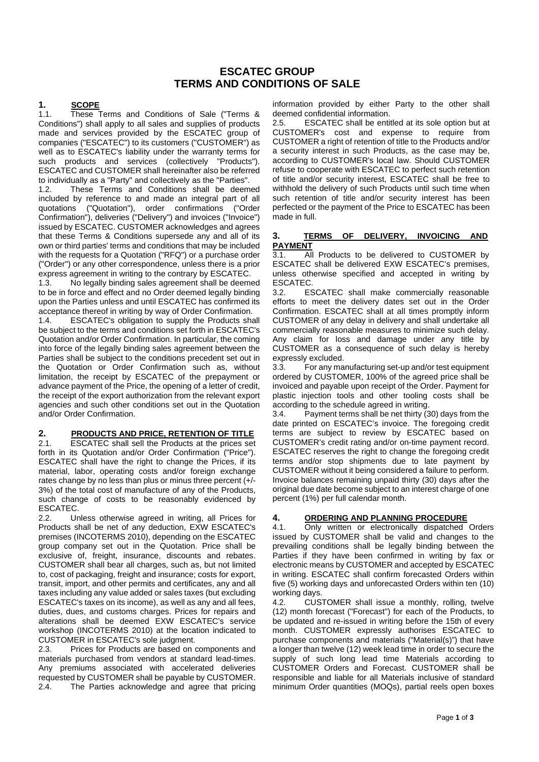### **ESCATEC GROUP TERMS AND CONDITIONS OF SALE**

# **1. 1.1. These**

These Terms and Conditions of Sale ("Terms & Conditions") shall apply to all sales and supplies of products made and services provided by the ESCATEC group of companies ("ESCATEC") to its customers ("CUSTOMER") as well as to ESCATEC's liability under the warranty terms for such products and services (collectively "Products"). ESCATEC and CUSTOMER shall hereinafter also be referred to individually as a "Party" and collectively as the "Parties".

1.2. These Terms and Conditions shall be deemed included by reference to and made an integral part of all quotations ("Quotation"), order confirmations ("Order Confirmation"), deliveries ("Delivery") and invoices ("Invoice") issued by ESCATEC. CUSTOMER acknowledges and agrees that these Terms & Conditions supersede any and all of its own or third parties' terms and conditions that may be included with the requests for a Quotation ("RFQ") or a purchase order ("Order") or any other correspondence, unless there is a prior express agreement in writing to the contrary by ESCATEC.

1.3. No legally binding sales agreement shall be deemed to be in force and effect and no Order deemed legally binding upon the Parties unless and until ESCATEC has confirmed its acceptance thereof in writing by way of Order Confirmation.<br>1.4. ESCATEC's obligation to supply the Products shall

ESCATEC's obligation to supply the Products shall be subject to the terms and conditions set forth in ESCATEC's Quotation and/or Order Confirmation. In particular, the coming into force of the legally binding sales agreement between the Parties shall be subject to the conditions precedent set out in the Quotation or Order Confirmation such as, without limitation, the receipt by ESCATEC of the prepayment or advance payment of the Price, the opening of a letter of credit, the receipt of the export authorization from the relevant export agencies and such other conditions set out in the Quotation and/or Order Confirmation.

### **2. PRODUCTS AND PRICE, RETENTION OF TITLE**<br>2.1 **ESCATEC** shall sell the Products at the prices set

**ESCATEC** shall sell the Products at the prices set forth in its Quotation and/or Order Confirmation ("Price"). ESCATEC shall have the right to change the Prices, if its material, labor, operating costs and/or foreign exchange rates change by no less than plus or minus three percent (+/- 3%) of the total cost of manufacture of any of the Products, such change of costs to be reasonably evidenced by ESCATEC.

2.2. Unless otherwise agreed in writing, all Prices for Products shall be net of any deduction, EXW ESCATEC's premises (INCOTERMS 2010), depending on the ESCATEC group company set out in the Quotation. Price shall be exclusive of, freight, insurance, discounts and rebates. CUSTOMER shall bear all charges, such as, but not limited to, cost of packaging, freight and insurance; costs for export, transit, import, and other permits and certificates, any and all taxes including any value added or sales taxes (but excluding ESCATEC's taxes on its income), as well as any and all fees, duties, dues, and customs charges. Prices for repairs and alterations shall be deemed EXW ESCATEC's service workshop (INCOTERMS 2010) at the location indicated to CUSTOMER in ESCATEC's sole judgment.

2.3. Prices for Products are based on components and materials purchased from vendors at standard lead-times. Any premiums associated with accelerated deliveries requested by CUSTOMER shall be payable by CUSTOMER.<br>2.4. The Parties acknowledge and agree that pricing The Parties acknowledge and agree that pricing

information provided by either Party to the other shall deemed confidential information.

2.5. ESCATEC shall be entitled at its sole option but at CUSTOMER's cost and expense to require from CUSTOMER a right of retention of title to the Products and/or a security interest in such Products, as the case may be, according to CUSTOMER's local law. Should CUSTOMER refuse to cooperate with ESCATEC to perfect such retention of title and/or security interest, ESCATEC shall be free to withhold the delivery of such Products until such time when such retention of title and/or security interest has been perfected or the payment of the Price to ESCATEC has been made in full.

### **3. TERMS OF DELIVERY, INVOICING AND PAYMENT**<br>3.1 All

All Products to be delivered to CUSTOMER by ESCATEC shall be delivered EXW ESCATEC's premises, unless otherwise specified and accepted in writing by

ESCATEC.<br>3.2. ES ESCATEC shall make commercially reasonable efforts to meet the delivery dates set out in the Order Confirmation. ESCATEC shall at all times promptly inform CUSTOMER of any delay in delivery and shall undertake all commercially reasonable measures to minimize such delay. Any claim for loss and damage under any title by CUSTOMER as a consequence of such delay is hereby expressly excluded.

3.3. For any manufacturing set-up and/or test equipment ordered by CUSTOMER, 100% of the agreed price shall be invoiced and payable upon receipt of the Order. Payment for plastic injection tools and other tooling costs shall be according to the schedule agreed in writing.

3.4. Payment terms shall be net thirty (30) days from the date printed on ESCATEC's invoice. The foregoing credit terms are subject to review by ESCATEC based on CUSTOMER's credit rating and/or on-time payment record. ESCATEC reserves the right to change the foregoing credit terms and/or stop shipments due to late payment by CUSTOMER without it being considered a failure to perform. Invoice balances remaining unpaid thirty (30) days after the original due date become subject to an interest charge of one percent (1%) per full calendar month.

# **4. ORDERING AND PLANNING PROCEDURE**<br>4.1. Only written or electronically dispatched

Only written or electronically dispatched Orders issued by CUSTOMER shall be valid and changes to the prevailing conditions shall be legally binding between the Parties if they have been confirmed in writing by fax or electronic means by CUSTOMER and accepted by ESCATEC in writing. ESCATEC shall confirm forecasted Orders within five (5) working days and unforecasted Orders within ten (10) working days.

4.2. CUSTOMER shall issue a monthly, rolling, twelve (12) month forecast ("Forecast") for each of the Products, to be updated and re-issued in writing before the 15th of every month. CUSTOMER expressly authorises ESCATEC to purchase components and materials ("Material(s)") that have a longer than twelve (12) week lead time in order to secure the supply of such long lead time Materials according to CUSTOMER Orders and Forecast. CUSTOMER shall be responsible and liable for all Materials inclusive of standard minimum Order quantities (MOQs), partial reels open boxes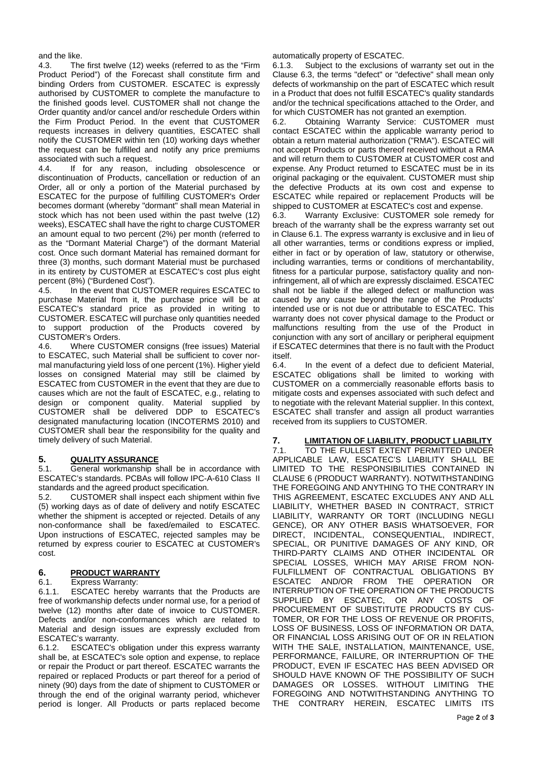and the like.

4.3. The first twelve (12) weeks (referred to as the "Firm Product Period") of the Forecast shall constitute firm and binding Orders from CUSTOMER. ESCATEC is expressly authorised by CUSTOMER to complete the manufacture to the finished goods level. CUSTOMER shall not change the Order quantity and/or cancel and/or reschedule Orders within the Firm Product Period. In the event that CUSTOMER requests increases in delivery quantities, ESCATEC shall notify the CUSTOMER within ten (10) working days whether the request can be fulfilled and notify any price premiums associated with such a request.<br>4.4. If for any reason.

If for any reason, including obsolescence or discontinuation of Products, cancellation or reduction of an Order, all or only a portion of the Material purchased by ESCATEC for the purpose of fulfilling CUSTOMER's Order becomes dormant (whereby "dormant" shall mean Material in stock which has not been used within the past twelve (12) weeks), ESCATEC shall have the right to charge CUSTOMER an amount equal to two percent (2%) per month (referred to as the "Dormant Material Charge") of the dormant Material cost. Once such dormant Material has remained dormant for three (3) months, such dormant Material must be purchased in its entirety by CUSTOMER at ESCATEC's cost plus eight percent (8%) ("Burdened Cost").<br>4.5 In the event that CUST

In the event that CUSTOMER requires ESCATEC to purchase Material from it, the purchase price will be at ESCATEC's standard price as provided in writing to CUSTOMER. ESCATEC will purchase only quantities needed to support production of the Products covered by CUSTOMER's Orders.

4.6. Where CUSTOMER consigns (free issues) Material to ESCATEC, such Material shall be sufficient to cover normal manufacturing yield loss of one percent (1%). Higher yield losses on consigned Material may still be claimed by ESCATEC from CUSTOMER in the event that they are due to causes which are not the fault of ESCATEC, e.g., relating to design or component quality. Material supplied by CUSTOMER shall be delivered DDP to ESCATEC's designated manufacturing location (INCOTERMS 2010) and CUSTOMER shall bear the responsibility for the quality and timely delivery of such Material.

### **5. QUALITY ASSURANCE**

General workmanship shall be in accordance with ESCATEC's standards. PCBAs will follow IPC-A-610 Class II standards and the agreed product specification.

5.2. CUSTOMER shall inspect each shipment within five (5) working days as of date of delivery and notify ESCATEC whether the shipment is accepted or rejected. Details of any non-conformance shall be faxed/emailed to ESCATEC. Upon instructions of ESCATEC, rejected samples may be returned by express courier to ESCATEC at CUSTOMER's cost.

## **6. PRODUCT WARRANTY**

#### Express Warranty:

6.1.1. ESCATEC hereby warrants that the Products are free of workmanship defects under normal use, for a period of twelve (12) months after date of invoice to CUSTOMER. Defects and/or non-conformances which are related to Material and design issues are expressly excluded from ESCATEC's warranty.

6.1.2. ESCATEC's obligation under this express warranty shall be, at ESCATEC's sole option and expense, to replace or repair the Product or part thereof. ESCATEC warrants the repaired or replaced Products or part thereof for a period of ninety (90) days from the date of shipment to CUSTOMER or through the end of the original warranty period, whichever period is longer. All Products or parts replaced become

automatically property of ESCATEC.

6.1.3. Subject to the exclusions of warranty set out in the Clause 6.3, the terms "defect" or "defective" shall mean only defects of workmanship on the part of ESCATEC which result in a Product that does not fulfill ESCATEC's quality standards and/or the technical specifications attached to the Order, and for which CUSTOMER has not granted an exemption.

6.2. Obtaining Warranty Service: CUSTOMER must contact ESCATEC within the applicable warranty period to obtain a return material authorization ("RMA"). ESCATEC will not accept Products or parts thereof received without a RMA and will return them to CUSTOMER at CUSTOMER cost and expense. Any Product returned to ESCATEC must be in its original packaging or the equivalent. CUSTOMER must ship the defective Products at its own cost and expense to ESCATEC while repaired or replacement Products will be shipped to CUSTOMER at ESCATEC's cost and expense.

6.3. Warranty Exclusive: CUSTOMER sole remedy for breach of the warranty shall be the express warranty set out in Clause 6.1. The express warranty is exclusive and in lieu of all other warranties, terms or conditions express or implied, either in fact or by operation of law, statutory or otherwise, including warranties, terms or conditions of merchantability, fitness for a particular purpose, satisfactory quality and noninfringement, all of which are expressly disclaimed. ESCATEC shall not be liable if the alleged defect or malfunction was caused by any cause beyond the range of the Products' intended use or is not due or attributable to ESCATEC. This warranty does not cover physical damage to the Product or malfunctions resulting from the use of the Product in conjunction with any sort of ancillary or peripheral equipment if ESCATEC determines that there is no fault with the Product itself.

6.4. In the event of a defect due to deficient Material, ESCATEC obligations shall be limited to working with CUSTOMER on a commercially reasonable efforts basis to mitigate costs and expenses associated with such defect and to negotiate with the relevant Material supplier. In this context, ESCATEC shall transfer and assign all product warranties received from its suppliers to CUSTOMER.

### **7. LIMITATION OF LIABILITY, PRODUCT LIABILITY**

TO THE FULLEST EXTENT PERMITTED UNDER APPLICABLE LAW, ESCATEC'S LIABILITY SHALL BE LIMITED TO THE RESPONSIBILITIES CONTAINED IN CLAUSE 6 (PRODUCT WARRANTY). NOTWITHSTANDING THE FOREGOING AND ANYTHING TO THE CONTRARY IN THIS AGREEMENT, ESCATEC EXCLUDES ANY AND ALL LIABILITY, WHETHER BASED IN CONTRACT, STRICT LIABILITY, WARRANTY OR TORT (INCLUDING NEGLI GENCE), OR ANY OTHER BASIS WHATSOEVER, FOR DIRECT, INCIDENTAL, CONSEQUENTIAL, INDIRECT, SPECIAL, OR PUNITIVE DAMAGES OF ANY KIND, OR THIRD-PARTY CLAIMS AND OTHER INCIDENTAL OR SPECIAL LOSSES, WHICH MAY ARISE FROM NON-FULFILLMENT OF CONTRACTUAL OBLIGATIONS BY ESCATEC AND/OR FROM THE OPERATION OR INTERRUPTION OF THE OPERATION OF THE PRODUCTS SUPPLIED BY ESCATEC, OR ANY COSTS OF PROCUREMENT OF SUBSTITUTE PRODUCTS BY CUS-TOMER, OR FOR THE LOSS OF REVENUE OR PROFITS, LOSS OF BUSINESS, LOSS OF INFORMATION OR DATA, OR FINANCIAL LOSS ARISING OUT OF OR IN RELATION WITH THE SALE, INSTALLATION, MAINTENANCE, USE, PERFORMANCE, FAILURE, OR INTERRUPTION OF THE PRODUCT, EVEN IF ESCATEC HAS BEEN ADVISED OR SHOULD HAVE KNOWN OF THE POSSIBILITY OF SUCH DAMAGES OR LOSSES. WITHOUT LIMITING THE FOREGOING AND NOTWITHSTANDING ANYTHING TO THE CONTRARY HEREIN, ESCATEC LIMITS ITS